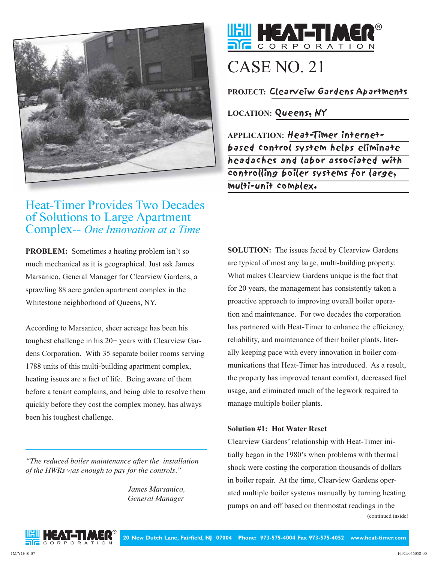

# Heat-Timer Provides Two Decades of Solutions to Large Apartment Complex-- *One Innovation at a Time*

**PROBLEM:** Sometimes a heating problem isn't so much mechanical as it is geographical. Just ask James Marsanico, General Manager for Clearview Gardens, a sprawling 88 acre garden apartment complex in the Whitestone neighborhood of Queens, NY.

According to Marsanico, sheer acreage has been his toughest challenge in his 20+ years with Clearview Gardens Corporation. With 35 separate boiler rooms serving 1788 units of this multi-building apartment complex, heating issues are a fact of life. Being aware of them before a tenant complains, and being able to resolve them quickly before they cost the complex money, has always been his toughest challenge.

*"The reduced boiler maintenance after the installation of the HWRs was enough to pay for the controls."*

> *James Marsanico, General Manager*



# CASE NO. 21

**PROJECT:** Clearveiw Gardens Apartments

**LOCATION:** Queens, NY

**APPLICATION:** Heat-Timer internetbased control system helps eliminate headaches and labor associated with controlling boiler systems for large, multi-unit complex.

**SOLUTION:** The issues faced by Clearview Gardens are typical of most any large, multi-building property. What makes Clearview Gardens unique is the fact that for 20 years, the management has consistently taken a proactive approach to improving overall boiler operation and maintenance. For two decades the corporation has partnered with Heat-Timer to enhance the efficiency, reliability, and maintenance of their boiler plants, literally keeping pace with every innovation in boiler communications that Heat-Timer has introduced. As a result, the property has improved tenant comfort, decreased fuel usage, and eliminated much of the legwork required to manage multiple boiler plants.

### **Solution #1: Hot Water Reset**

Clearview Gardens' relationship with Heat-Timer initially began in the 1980's when problems with thermal shock were costing the corporation thousands of dollars in boiler repair. At the time, Clearview Gardens operated multiple boiler systems manually by turning heating pumps on and off based on thermostat readings in the (continued inside)

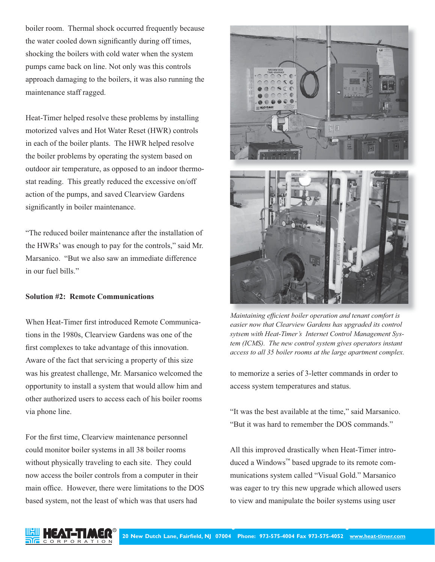boiler room. Thermal shock occurred frequently because the water cooled down significantly during off times, shocking the boilers with cold water when the system pumps came back on line. Not only was this controls approach damaging to the boilers, it was also running the maintenance staff ragged.

Heat-Timer helped resolve these problems by installing motorized valves and Hot Water Reset (HWR) controls in each of the boiler plants. The HWR helped resolve the boiler problems by operating the system based on outdoor air temperature, as opposed to an indoor thermostat reading. This greatly reduced the excessive on/off action of the pumps, and saved Clearview Gardens significantly in boiler maintenance.

"The reduced boiler maintenance after the installation of the HWRs' was enough to pay for the controls," said Mr. Marsanico. "But we also saw an immediate difference in our fuel bills."

#### **Solution #2: Remote Communications**

When Heat-Timer first introduced Remote Communications in the 1980s, Clearview Gardens was one of the first complexes to take advantage of this innovation. Aware of the fact that servicing a property of this size was his greatest challenge, Mr. Marsanico welcomed the opportunity to install a system that would allow him and other authorized users to access each of his boiler rooms via phone line.

For the first time, Clearview maintenance personnel could monitor boiler systems in all 38 boiler rooms without physically traveling to each site. They could now access the boiler controls from a computer in their main office. However, there were limitations to the DOS based system, not the least of which was that users had



*Maintaining efficient boiler operation and tenant comfort is easier now that Clearview Gardens has upgraded its control sytsem with Heat-Timer's Internet Control Management System (ICMS). The new control system gives operators instant access to all 35 boiler rooms at the large apartment complex.*

to memorize a series of 3-letter commands in order to access system temperatures and status.

"It was the best available at the time," said Marsanico. "But it was hard to remember the DOS commands."

All this improved drastically when Heat-Timer introduced a Windows™ based upgrade to its remote communications system called "Visual Gold." Marsanico was eager to try this new upgrade which allowed users to view and manipulate the boiler systems using user

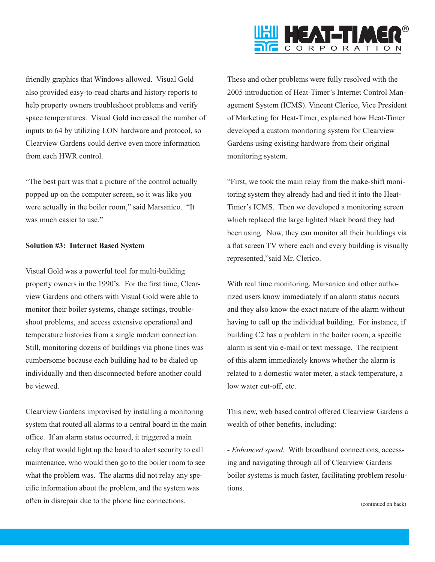

friendly graphics that Windows allowed. Visual Gold also provided easy-to-read charts and history reports to help property owners troubleshoot problems and verify space temperatures. Visual Gold increased the number of inputs to 64 by utilizing LON hardware and protocol, so Clearview Gardens could derive even more information from each HWR control.

"The best part was that a picture of the control actually popped up on the computer screen, so it was like you were actually in the boiler room," said Marsanico. "It was much easier to use."

#### **Solution #3: Internet Based System**

Visual Gold was a powerful tool for multi-building property owners in the 1990's. For the first time, Clearview Gardens and others with Visual Gold were able to monitor their boiler systems, change settings, troubleshoot problems, and access extensive operational and temperature histories from a single modem connection. Still, monitoring dozens of buildings via phone lines was cumbersome because each building had to be dialed up individually and then disconnected before another could be viewed.

Clearview Gardens improvised by installing a monitoring system that routed all alarms to a central board in the main office. If an alarm status occurred, it triggered a main relay that would light up the board to alert security to call maintenance, who would then go to the boiler room to see what the problem was. The alarms did not relay any specific information about the problem, and the system was often in disrepair due to the phone line connections.

These and other problems were fully resolved with the 2005 introduction of Heat-Timer's Internet Control Management System (ICMS). Vincent Clerico, Vice President of Marketing for Heat-Timer, explained how Heat-Timer developed a custom monitoring system for Clearview Gardens using existing hardware from their original monitoring system.

"First, we took the main relay from the make-shift monitoring system they already had and tied it into the Heat-Timer's ICMS. Then we developed a monitoring screen which replaced the large lighted black board they had been using. Now, they can monitor all their buildings via a flat screen TV where each and every building is visually represented,"said Mr. Clerico.

With real time monitoring, Marsanico and other authorized users know immediately if an alarm status occurs and they also know the exact nature of the alarm without having to call up the individual building. For instance, if building C2 has a problem in the boiler room, a specific alarm is sent via e-mail or text message. The recipient of this alarm immediately knows whether the alarm is related to a domestic water meter, a stack temperature, a low water cut-off, etc.

This new, web based control offered Clearview Gardens a wealth of other benefits, including:

*- Enhanced speed*. With broadband connections, accessing and navigating through all of Clearview Gardens boiler systems is much faster, facilitating problem resolutions.

(continued on back)